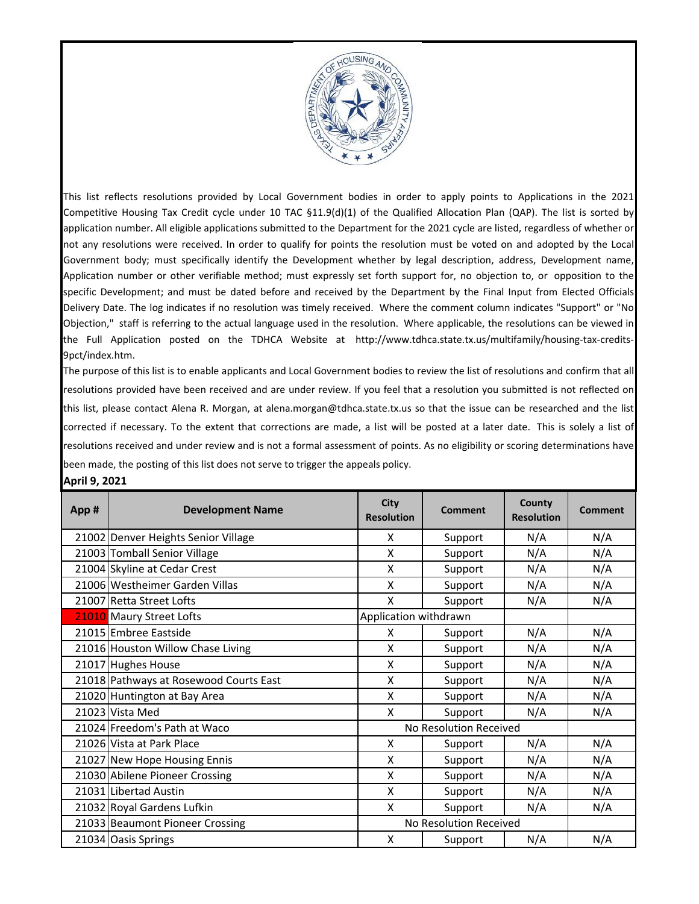

This list reflects resolutions provided by Local Government bodies in order to apply points to Applications in the 2021 Competitive Housing Tax Credit cycle under 10 TAC §11.9(d)(1) of the Qualified Allocation Plan (QAP). The list is sorted by application number. All eligible applications submitted to the Department for the 2021 cycle are listed, regardless of whether or not any resolutions were received. In order to qualify for points the resolution must be voted on and adopted by the Local Government body; must specifically identify the Development whether by legal description, address, Development name, Application number or other verifiable method; must expressly set forth support for, no objection to, or opposition to the specific Development; and must be dated before and received by the Department by the Final Input from Elected Officials Delivery Date. The log indicates if no resolution was timely received. Where the comment column indicates "Support" or "No Objection," staff is referring to the actual language used in the resolution. Where applicable, the resolutions can be viewed in the Full Application posted on the TDHCA Website at http://www.tdhca.state.tx.us/multifamily/housing-tax-credits-9pct/index.htm.

The purpose of this list is to enable applicants and Local Government bodies to review the list of resolutions and confirm that all resolutions provided have been received and are under review. If you feel that a resolution you submitted is not reflected on this list, please contact Alena R. Morgan, at alena.morgan@tdhca.state.tx.us so that the issue can be researched and the list corrected if necessary. To the extent that corrections are made, a list will be posted at a later date. This is solely a list of resolutions received and under review and is not a formal assessment of points. As no eligibility or scoring determinations have been made, the posting of this list does not serve to trigger the appeals policy.

## **April 9, 2021**

| App# | <b>Development Name</b>                | <b>City</b><br><b>Resolution</b> | Comment | County<br><b>Resolution</b> | Comment |
|------|----------------------------------------|----------------------------------|---------|-----------------------------|---------|
|      | 21002 Denver Heights Senior Village    | X                                | Support | N/A                         | N/A     |
|      | 21003 Tomball Senior Village           | X                                | Support | N/A                         | N/A     |
|      | 21004 Skyline at Cedar Crest           | X                                | Support | N/A                         | N/A     |
|      | 21006 Westheimer Garden Villas         | X                                | Support | N/A                         | N/A     |
|      | 21007 Retta Street Lofts               | X                                | Support | N/A                         | N/A     |
|      | 21010 Maury Street Lofts               | Application withdrawn            |         |                             |         |
|      | 21015 Embree Eastside                  | X                                | Support | N/A                         | N/A     |
|      | 21016 Houston Willow Chase Living      | X                                | Support | N/A                         | N/A     |
|      | 21017 Hughes House                     | X                                | Support | N/A                         | N/A     |
|      | 21018 Pathways at Rosewood Courts East | X                                | Support | N/A                         | N/A     |
|      | 21020 Huntington at Bay Area           | X                                | Support | N/A                         | N/A     |
|      | 21023 Vista Med                        | X                                | Support | N/A                         | N/A     |
|      | 21024 Freedom's Path at Waco           | No Resolution Received           |         |                             |         |
|      | 21026 Vista at Park Place              | X                                | Support | N/A                         | N/A     |
|      | 21027 New Hope Housing Ennis           | X                                | Support | N/A                         | N/A     |
|      | 21030 Abilene Pioneer Crossing         | X                                | Support | N/A                         | N/A     |
|      | 21031 Libertad Austin                  | X                                | Support | N/A                         | N/A     |
|      | 21032 Royal Gardens Lufkin             | X                                | Support | N/A                         | N/A     |
|      | 21033 Beaumont Pioneer Crossing        | No Resolution Received           |         |                             |         |
|      | 21034 Oasis Springs                    | X                                | Support | N/A                         | N/A     |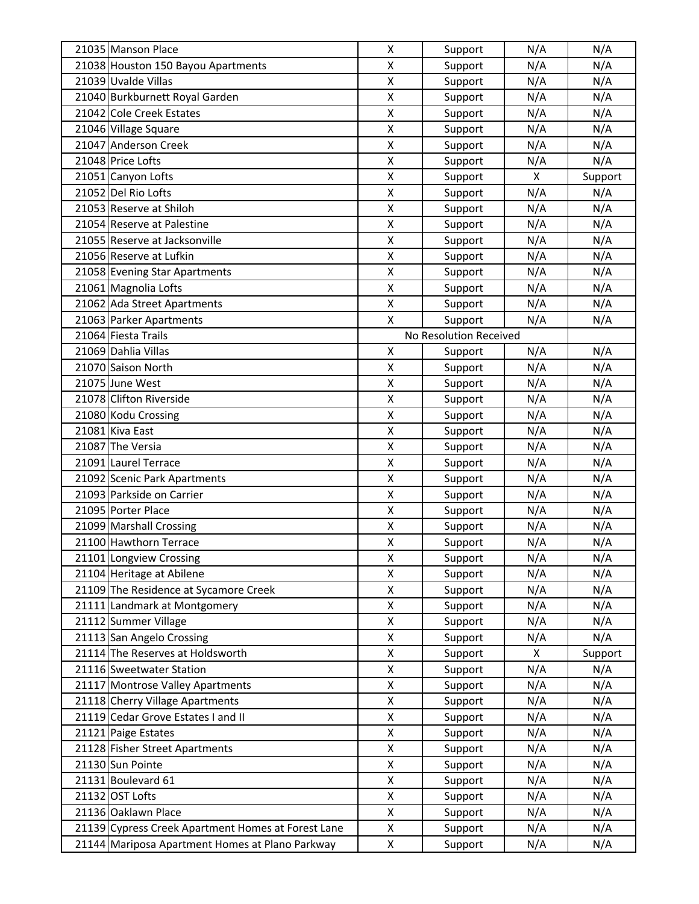| 21035 Manson Place                                 | $\pmb{\mathsf{X}}$ | Support                | N/A                       | N/A     |
|----------------------------------------------------|--------------------|------------------------|---------------------------|---------|
| 21038 Houston 150 Bayou Apartments                 | X                  | Support                | N/A                       | N/A     |
| 21039 Uvalde Villas                                | X                  | Support                | N/A                       | N/A     |
| 21040 Burkburnett Royal Garden                     | X                  | Support                | N/A                       | N/A     |
| 21042 Cole Creek Estates                           | Χ                  | Support                | N/A                       | N/A     |
| 21046 Village Square                               | X                  | Support                | N/A                       | N/A     |
| 21047 Anderson Creek                               | X                  | Support                | N/A                       | N/A     |
| 21048 Price Lofts                                  | X                  | Support                | N/A                       | N/A     |
| 21051 Canyon Lofts                                 | X                  | Support                | $\boldsymbol{\mathsf{X}}$ | Support |
| 21052 Del Rio Lofts                                | X                  | Support                | N/A                       | N/A     |
| 21053 Reserve at Shiloh                            | Χ                  | Support                | N/A                       | N/A     |
| 21054 Reserve at Palestine                         | X                  | Support                | N/A                       | N/A     |
| 21055 Reserve at Jacksonville                      | X                  | Support                | N/A                       | N/A     |
| 21056 Reserve at Lufkin                            | X                  | Support                | N/A                       | N/A     |
| 21058 Evening Star Apartments                      | X                  | Support                | N/A                       | N/A     |
| 21061 Magnolia Lofts                               | Χ                  | Support                | N/A                       | N/A     |
| 21062 Ada Street Apartments                        | X                  | Support                | N/A                       | N/A     |
| 21063 Parker Apartments                            | X                  | Support                | N/A                       | N/A     |
| 21064 Fiesta Trails                                |                    | No Resolution Received |                           |         |
| 21069 Dahlia Villas                                | Χ                  | Support                | N/A                       | N/A     |
| 21070 Saison North                                 | X                  | Support                | N/A                       | N/A     |
| 21075 June West                                    | X                  | Support                | N/A                       | N/A     |
| 21078 Clifton Riverside                            | Χ                  | Support                | N/A                       | N/A     |
| 21080 Kodu Crossing                                | X                  | Support                | N/A                       | N/A     |
| 21081 Kiva East                                    | X                  | Support                | N/A                       | N/A     |
| 21087 The Versia                                   | X                  | Support                | N/A                       | N/A     |
| 21091 Laurel Terrace                               | X                  | Support                | N/A                       | N/A     |
| 21092 Scenic Park Apartments                       | X                  | Support                | N/A                       | N/A     |
| 21093 Parkside on Carrier                          | X                  | Support                | N/A                       | N/A     |
| 21095 Porter Place                                 | Χ                  | Support                | N/A                       | N/A     |
| 21099 Marshall Crossing                            | Χ                  | Support                | N/A                       | N/A     |
| 21100 Hawthorn Terrace                             | X                  | Support                | N/A                       | N/A     |
| 21101 Longview Crossing                            | Χ                  | Support                | N/A                       | N/A     |
| 21104 Heritage at Abilene                          | Χ                  | Support                | N/A                       | N/A     |
| 21109 The Residence at Sycamore Creek              | Χ                  | Support                | N/A                       | N/A     |
| 21111 Landmark at Montgomery                       | X                  | Support                | N/A                       | N/A     |
| 21112 Summer Village                               | Χ                  | Support                | N/A                       | N/A     |
| 21113 San Angelo Crossing                          | Χ                  | Support                | N/A                       | N/A     |
| 21114 The Reserves at Holdsworth                   | X                  | Support                | X                         | Support |
| 21116 Sweetwater Station                           | Χ                  | Support                | N/A                       | N/A     |
| 21117 Montrose Valley Apartments                   | Χ                  | Support                | N/A                       | N/A     |
| 21118 Cherry Village Apartments                    | X                  | Support                | N/A                       | N/A     |
| 21119 Cedar Grove Estates I and II                 | Χ                  | Support                | N/A                       | N/A     |
| 21121 Paige Estates                                | X                  | Support                | N/A                       | N/A     |
| 21128 Fisher Street Apartments                     | X                  | Support                | N/A                       | N/A     |
| 21130 Sun Pointe                                   | X                  | Support                | N/A                       | N/A     |
| 21131 Boulevard 61                                 | Χ                  | Support                | N/A                       | N/A     |
| 21132 OST Lofts                                    | Χ                  | Support                | N/A                       | N/A     |
| 21136 Oaklawn Place                                | X                  | Support                | N/A                       | N/A     |
| 21139 Cypress Creek Apartment Homes at Forest Lane | Χ                  | Support                | N/A                       | N/A     |
| 21144 Mariposa Apartment Homes at Plano Parkway    | X                  | Support                | N/A                       | N/A     |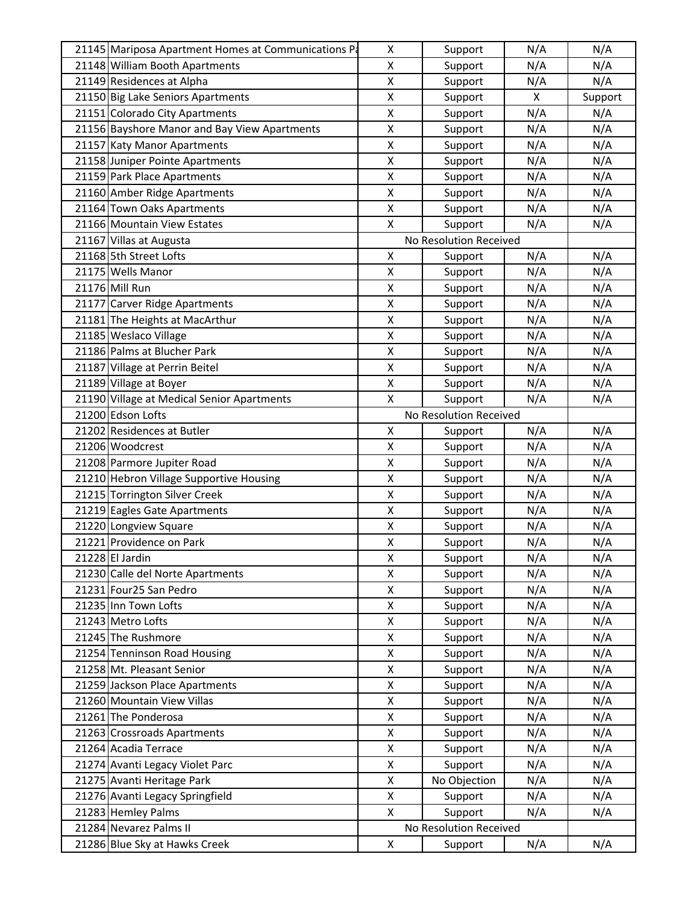| 21145 Mariposa Apartment Homes at Communications Pa | Χ                  | Support                | N/A | N/A     |
|-----------------------------------------------------|--------------------|------------------------|-----|---------|
| 21148 William Booth Apartments                      | Χ                  | Support                | N/A | N/A     |
| 21149 Residences at Alpha                           | Χ                  | Support                | N/A | N/A     |
| 21150 Big Lake Seniors Apartments                   | Χ                  | Support                | X   | Support |
| 21151 Colorado City Apartments                      | Χ                  | Support                | N/A | N/A     |
| 21156 Bayshore Manor and Bay View Apartments        | Χ                  | Support                | N/A | N/A     |
| 21157 Katy Manor Apartments                         | X                  | Support                | N/A | N/A     |
| 21158 Juniper Pointe Apartments                     | Χ                  | Support                | N/A | N/A     |
| 21159 Park Place Apartments                         | Χ                  | Support                | N/A | N/A     |
| 21160 Amber Ridge Apartments                        | Χ                  | Support                | N/A | N/A     |
| 21164 Town Oaks Apartments                          | Χ                  | Support                | N/A | N/A     |
| 21166 Mountain View Estates                         | X                  | Support                | N/A | N/A     |
| 21167 Villas at Augusta                             |                    | No Resolution Received |     |         |
| 21168 5th Street Lofts                              | Χ                  | Support                | N/A | N/A     |
| 21175 Wells Manor                                   | Χ                  | Support                | N/A | N/A     |
| 21176 Mill Run                                      | Χ                  | Support                | N/A | N/A     |
| 21177 Carver Ridge Apartments                       | Χ                  | Support                | N/A | N/A     |
| 21181 The Heights at MacArthur                      | X                  | Support                | N/A | N/A     |
| 21185 Weslaco Village                               | X                  | Support                | N/A | N/A     |
| 21186 Palms at Blucher Park                         | Χ                  | Support                | N/A | N/A     |
| 21187 Village at Perrin Beitel                      | $\pmb{\mathsf{X}}$ | Support                | N/A | N/A     |
| 21189 Village at Boyer                              | Χ                  | Support                | N/A | N/A     |
| 21190 Village at Medical Senior Apartments          | X                  | Support                | N/A | N/A     |
| 21200 Edson Lofts                                   |                    | No Resolution Received |     |         |
| 21202 Residences at Butler                          | Χ                  | Support                | N/A | N/A     |
| 21206 Woodcrest                                     | Χ                  | Support                | N/A | N/A     |
| 21208 Parmore Jupiter Road                          | Χ                  | Support                | N/A | N/A     |
| 21210 Hebron Village Supportive Housing             | Χ                  | Support                | N/A | N/A     |
| 21215 Torrington Silver Creek                       | Χ                  | Support                | N/A | N/A     |
| 21219 Eagles Gate Apartments                        | Χ                  | Support                | N/A | N/A     |
| 21220 Longview Square                               | Χ                  | Support                | N/A | N/A     |
| 21221 Providence on Park                            | Χ                  | Support                | N/A | N/A     |
| 21228 El Jardin                                     | Χ                  | Support                | N/A | N/A     |
| 21230 Calle del Norte Apartments                    | Χ                  | Support                | N/A | N/A     |
| 21231 Four25 San Pedro                              | Χ                  | Support                | N/A | N/A     |
| 21235 Inn Town Lofts                                | Χ                  | Support                | N/A | N/A     |
| 21243 Metro Lofts                                   | X                  | Support                | N/A | N/A     |
| 21245 The Rushmore                                  | Χ                  | Support                | N/A | N/A     |
| 21254 Tenninson Road Housing                        | Χ                  | Support                | N/A | N/A     |
| 21258 Mt. Pleasant Senior                           | Χ                  | Support                | N/A | N/A     |
| 21259 Jackson Place Apartments                      | Χ                  | Support                | N/A | N/A     |
| 21260 Mountain View Villas                          | Χ                  | Support                | N/A | N/A     |
| 21261 The Ponderosa                                 | X                  | Support                | N/A | N/A     |
| 21263 Crossroads Apartments                         | Χ                  | Support                | N/A | N/A     |
| 21264 Acadia Terrace                                | X                  | Support                | N/A | N/A     |
| 21274 Avanti Legacy Violet Parc                     | Χ                  | Support                | N/A | N/A     |
| 21275 Avanti Heritage Park                          | Χ                  | No Objection           | N/A | N/A     |
| 21276 Avanti Legacy Springfield                     | X                  | Support                | N/A | N/A     |
| 21283 Hemley Palms                                  | Χ                  | Support                | N/A | N/A     |
| 21284 Nevarez Palms II                              |                    | No Resolution Received |     |         |
|                                                     | X                  |                        |     |         |
| 21286 Blue Sky at Hawks Creek                       |                    | Support                | N/A | N/A     |